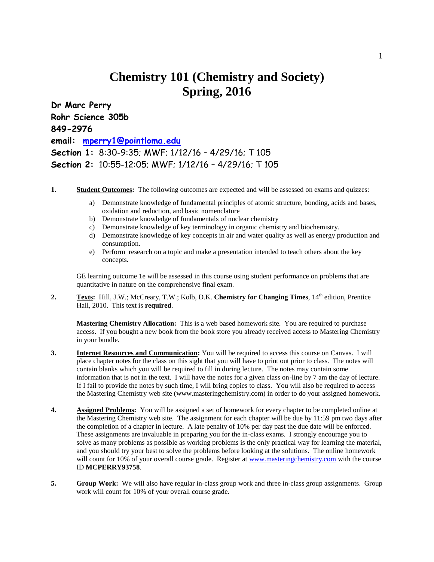## **Chemistry 101 (Chemistry and Society) Spring, 2016**

**Dr Marc Perry Rohr Science 305b 849-2976 email: [mperry1@pointloma.edu](mailto:mperry1@pointloma.edu) Section 1:** 8:30-9:35; MWF; 1/12/16 – 4/29/16; T 105 **Section 2:** 10:55-12:05; MWF; 1/12/16 – 4/29/16; T 105

- **1. Student Outcomes:** The following outcomes are expected and will be assessed on exams and quizzes:
	- a) Demonstrate knowledge of fundamental principles of atomic structure, bonding, acids and bases, oxidation and reduction, and basic nomenclature
	- b) Demonstrate knowledge of fundamentals of nuclear chemistry
	- c) Demonstrate knowledge of key terminology in organic chemistry and biochemistry.
	- d) Demonstrate knowledge of key concepts in air and water quality as well as energy production and consumption.
	- e) Perform research on a topic and make a presentation intended to teach others about the key concepts.

GE learning outcome 1e will be assessed in this course using student performance on problems that are quantitative in nature on the comprehensive final exam.

2. **Texts:** Hill, J.W.; McCreary, T.W.; Kolb, D.K. **Chemistry for Changing Times**, 14<sup>th</sup> edition, Prentice Hall, 2010. This text is **required**.

**Mastering Chemistry Allocation:** This is a web based homework site. You are required to purchase access. If you bought a new book from the book store you already received access to Mastering Chemistry in your bundle.

- **3. Internet Resources and Communication:** You will be required to access this course on Canvas. I will place chapter notes for the class on this sight that you will have to print out prior to class. The notes will contain blanks which you will be required to fill in during lecture. The notes may contain some information that is not in the text. I will have the notes for a given class on-line by 7 am the day of lecture. If I fail to provide the notes by such time, I will bring copies to class. You will also be required to access the Mastering Chemistry web site (www.masteringchemistry.com) in order to do your assigned homework.
- **4.** Assigned Problems: You will be assigned a set of homework for every chapter to be completed online at the Mastering Chemistry web site. The assignment for each chapter will be due by 11:59 pm two days after the completion of a chapter in lecture. A late penalty of 10% per day past the due date will be enforced. These assignments are invaluable in preparing you for the in-class exams. I strongly encourage you to solve as many problems as possible as working problems is the only practical way for learning the material, and you should try your best to solve the problems before looking at the solutions. The online homework will count for 10% of your overall course grade. Register at [www.masteringchemistry.com](http://www.masteringchemistry.com/) with the course ID **MCPERRY93758**.
- **5. Group Work:** We will also have regular in-class group work and three in-class group assignments. Group work will count for 10% of your overall course grade.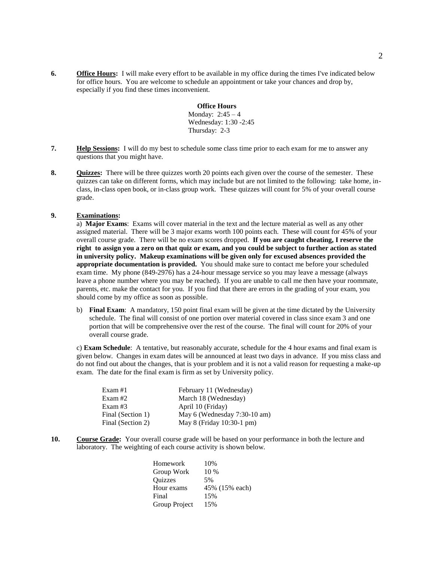**6. Office Hours:** I will make every effort to be available in my office during the times I've indicated below for office hours. You are welcome to schedule an appointment or take your chances and drop by, especially if you find these times inconvenient.

> **Office Hours** Monday: 2:45 – 4 Wednesday: 1:30 -2:45 Thursday: 2-3

- **7. Help Sessions:** I will do my best to schedule some class time prior to each exam for me to answer any questions that you might have.
- **8. Quizzes:** There will be three quizzes worth 20 points each given over the course of the semester. These quizzes can take on different forms, which may include but are not limited to the following: take home, inclass, in-class open book, or in-class group work. These quizzes will count for 5% of your overall course grade.

## **9. Examinations:**

a) **Major Exams**: Exams will cover material in the text and the lecture material as well as any other assigned material. There will be 3 major exams worth 100 points each. These will count for 45% of your overall course grade. There will be no exam scores dropped. **If you are caught cheating, I reserve the right to assign you a zero on that quiz or exam, and you could be subject to further action as stated in university policy. Makeup examinations will be given only for excused absences provided the appropriate documentation is provided.** You should make sure to contact me before your scheduled exam time. My phone (849-2976) has a 24-hour message service so you may leave a message (always leave a phone number where you may be reached). If you are unable to call me then have your roommate, parents, etc. make the contact for you. If you find that there are errors in the grading of your exam, you should come by my office as soon as possible.

b) **Final Exam**: A mandatory, 150 point final exam will be given at the time dictated by the University schedule. The final will consist of one portion over material covered in class since exam 3 and one portion that will be comprehensive over the rest of the course. The final will count for 20% of your overall course grade.

c) **Exam Schedule**: A tentative, but reasonably accurate, schedule for the 4 hour exams and final exam is given below. Changes in exam dates will be announced at least two days in advance. If you miss class and do not find out about the changes, that is your problem and it is not a valid reason for requesting a make-up exam. The date for the final exam is firm as set by University policy.

| February 11 (Wednesday)      |
|------------------------------|
| March 18 (Wednesday)         |
| April 10 (Friday)            |
| May 6 (Wednesday 7:30-10 am) |
| May 8 (Friday 10:30-1 pm)    |
|                              |

**10. Course Grade:** Your overall course grade will be based on your performance in both the lecture and laboratory. The weighting of each course activity is shown below.

| 45% (15% each) |
|----------------|
|                |
|                |
|                |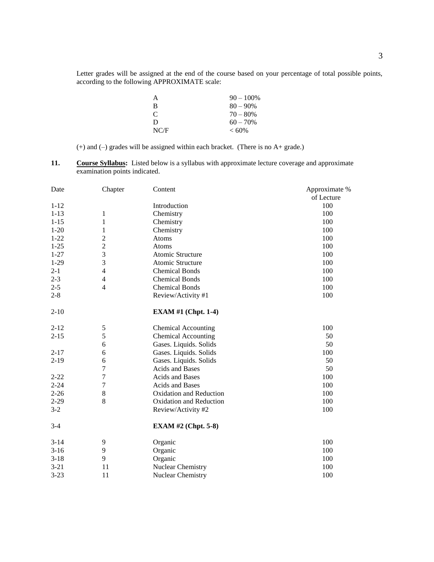Letter grades will be assigned at the end of the course based on your percentage of total possible points, according to the following APPROXIMATE scale:

| A             | $90 - 100\%$ |
|---------------|--------------|
| B             | $80 - 90\%$  |
| $\mathcal{C}$ | $70 - 80%$   |
| D             | $60 - 70\%$  |
| NC/F          | $< 60\%$     |

(+) and (–) grades will be assigned within each bracket. (There is no A+ grade.)

**11. Course Syllabus:** Listed below is a syllabus with approximate lecture coverage and approximate examination points indicated.

| Date     | Chapter                 | Content                    | Approximate % |
|----------|-------------------------|----------------------------|---------------|
|          |                         |                            | of Lecture    |
| $1 - 12$ |                         | Introduction               | 100           |
| $1 - 13$ | 1                       | Chemistry                  | 100           |
| $1 - 15$ | $\mathbf{1}$            | Chemistry                  | 100           |
| $1 - 20$ | 1                       | Chemistry                  | 100           |
| $1 - 22$ | $\overline{\mathbf{c}}$ | Atoms                      | 100           |
| $1 - 25$ | $\overline{c}$          | Atoms                      | 100           |
| $1 - 27$ | 3                       | Atomic Structure           | 100           |
| $1 - 29$ | 3                       | Atomic Structure           | 100           |
| $2 - 1$  | $\overline{4}$          | <b>Chemical Bonds</b>      | 100           |
| $2 - 3$  | $\overline{4}$          | <b>Chemical Bonds</b>      | 100           |
| $2 - 5$  | $\overline{4}$          | <b>Chemical Bonds</b>      | 100           |
| $2 - 8$  |                         | Review/Activity #1         | 100           |
| $2 - 10$ |                         | <b>EXAM #1 (Chpt. 1-4)</b> |               |
| $2 - 12$ | 5                       | <b>Chemical Accounting</b> | 100           |
| $2 - 15$ | 5                       | <b>Chemical Accounting</b> | 50            |
|          | 6                       | Gases. Liquids. Solids     | 50            |
| $2 - 17$ | 6                       | Gases. Liquids. Solids     | 100           |
| $2-19$   | 6                       | Gases. Liquids. Solids     | 50            |
|          | 7                       | <b>Acids and Bases</b>     | 50            |
| $2 - 22$ | $\overline{7}$          | <b>Acids and Bases</b>     | 100           |
| $2 - 24$ | $\overline{7}$          | Acids and Bases            | 100           |
| $2 - 26$ | 8                       | Oxidation and Reduction    | 100           |
| $2 - 29$ | 8                       | Oxidation and Reduction    | 100           |
| $3 - 2$  |                         | Review/Activity #2         | 100           |
| $3 - 4$  |                         | <b>EXAM #2 (Chpt. 5-8)</b> |               |
| $3 - 14$ | 9                       | Organic                    | 100           |
| $3-16$   | 9                       | Organic                    | 100           |
| $3 - 18$ | 9                       | Organic                    | 100           |
| $3 - 21$ | 11                      | Nuclear Chemistry          | 100           |
| $3 - 23$ | 11                      | Nuclear Chemistry          | 100           |